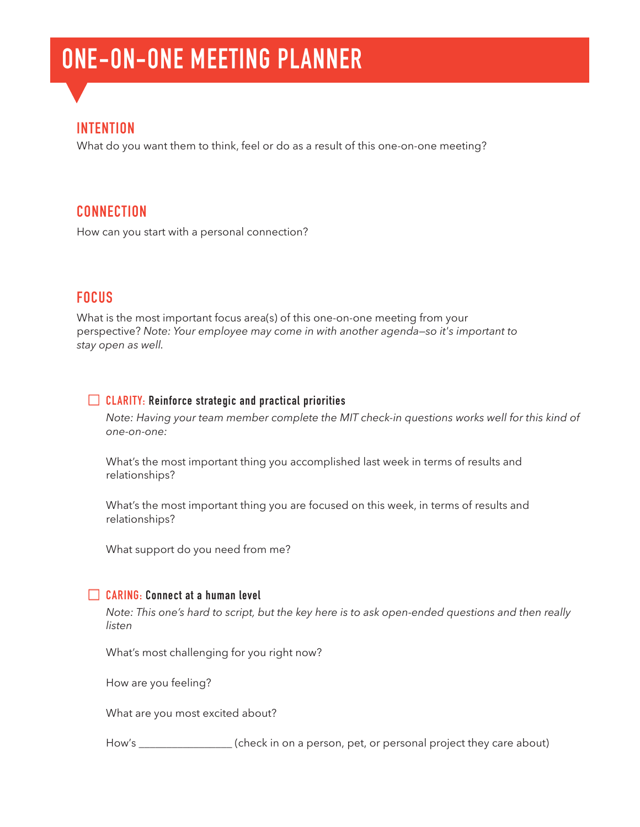# **ONE-ON-ONE MEETING PLANNER**

# **INTENTION**

What do you want them to think, feel or do as a result of this one-on-one meeting?

# **CONNECTION**

How can you start with a personal connection?

# **FOCUS**

What is the most important focus area(s) of this one-on-one meeting from your perspective? *Note: Your employee may come in with another agenda—so it's important to stay open as well.*

## **CLARITY: Reinforce strategic and practical priorities**

*Note: Having your team member complete the MIT check-in questions works well for this kind of one-on-one:*

What's the most important thing you accomplished last week in terms of results and relationships?

What's the most important thing you are focused on this week, in terms of results and relationships?

What support do you need from me?

## **CARING: Connect at a human level**

*Note: This one's hard to script, but the key here is to ask open-ended questions and then really listen*

What's most challenging for you right now?

How are you feeling?

What are you most excited about?

How's \_\_\_\_\_\_\_\_\_\_\_\_\_\_\_\_\_ (check in on a person, pet, or personal project they care about)